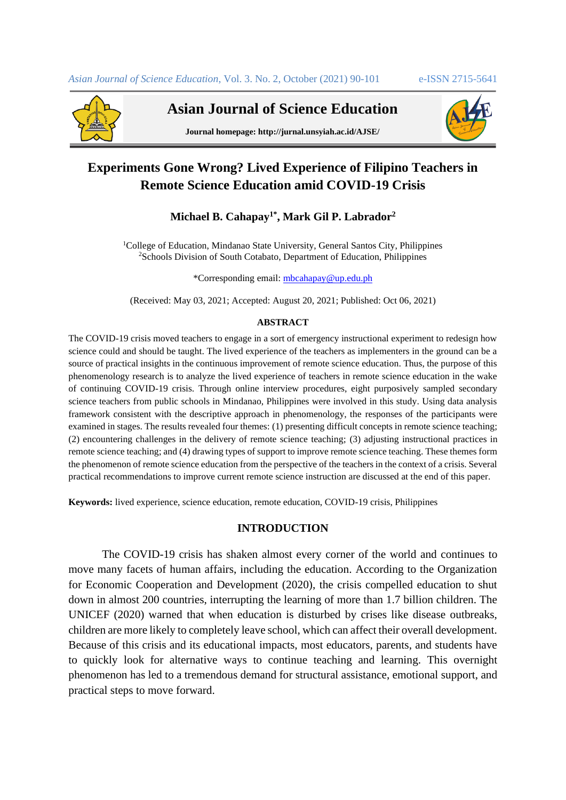

**Asian Journal of Science Education**



**Journal homepage: http://jurnal.unsyiah.ac.id/AJSE/**

# **Experiments Gone Wrong? Lived Experience of Filipino Teachers in Remote Science Education amid COVID-19 Crisis**

# **Michael B. Cahapay1\* , Mark Gil P. Labrador<sup>2</sup>**

<sup>1</sup>College of Education, Mindanao State University, General Santos City, Philippines <sup>2</sup>Schools Division of South Cotabato, Department of Education, Philippines

\*Corresponding email: [mbcahapay@up.edu.ph](mailto:mbcahapay@up.edu.ph)

(Received: May 03, 2021; Accepted: August 20, 2021; Published: Oct 06, 2021)

#### **ABSTRACT**

The COVID-19 crisis moved teachers to engage in a sort of emergency instructional experiment to redesign how science could and should be taught. The lived experience of the teachers as implementers in the ground can be a source of practical insights in the continuous improvement of remote science education. Thus, the purpose of this phenomenology research is to analyze the lived experience of teachers in remote science education in the wake of continuing COVID-19 crisis. Through online interview procedures, eight purposively sampled secondary science teachers from public schools in Mindanao, Philippines were involved in this study. Using data analysis framework consistent with the descriptive approach in phenomenology, the responses of the participants were examined in stages. The results revealed four themes: (1) presenting difficult concepts in remote science teaching; (2) encountering challenges in the delivery of remote science teaching; (3) adjusting instructional practices in remote science teaching; and (4) drawing types of support to improve remote science teaching. These themes form the phenomenon of remote science education from the perspective of the teachers in the context of a crisis. Several practical recommendations to improve current remote science instruction are discussed at the end of this paper.

**Keywords:** lived experience, science education, remote education, COVID-19 crisis, Philippines

## **INTRODUCTION**

The COVID-19 crisis has shaken almost every corner of the world and continues to move many facets of human affairs, including the education. According to the Organization for Economic Cooperation and Development (2020), the crisis compelled education to shut down in almost 200 countries, interrupting the learning of more than 1.7 billion children. The UNICEF (2020) warned that when education is disturbed by crises like disease outbreaks, children are more likely to completely leave school, which can affect their overall development. Because of this crisis and its educational impacts, most educators, parents, and students have to quickly look for alternative ways to continue teaching and learning. This overnight phenomenon has led to a tremendous demand for structural assistance, emotional support, and practical steps to move forward.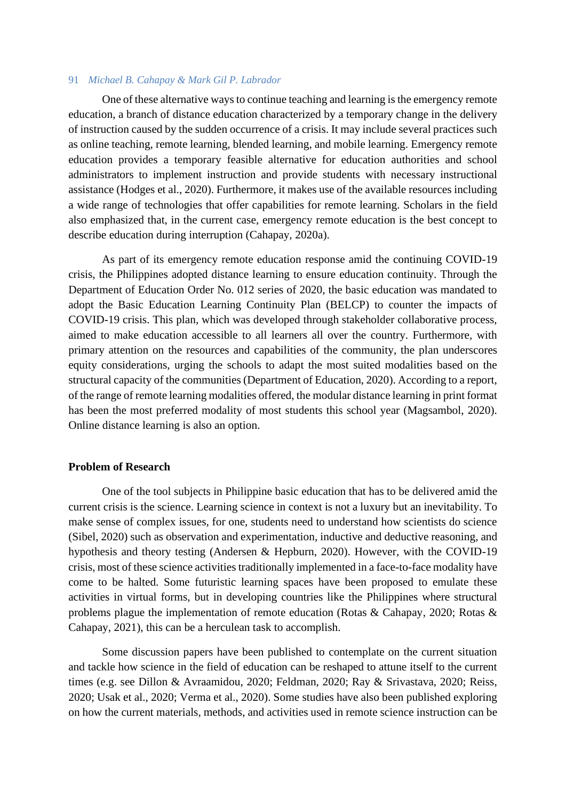One of these alternative ways to continue teaching and learning is the emergency remote education, a branch of distance education characterized by a temporary change in the delivery of instruction caused by the sudden occurrence of a crisis. It may include several practices such as online teaching, remote learning, blended learning, and mobile learning. Emergency remote education provides a temporary feasible alternative for education authorities and school administrators to implement instruction and provide students with necessary instructional assistance (Hodges et al., 2020). Furthermore, it makes use of the available resources including a wide range of technologies that offer capabilities for remote learning. Scholars in the field also emphasized that, in the current case, emergency remote education is the best concept to describe education during interruption (Cahapay, 2020a).

As part of its emergency remote education response amid the continuing COVID-19 crisis, the Philippines adopted distance learning to ensure education continuity. Through the Department of Education Order No. 012 series of 2020, the basic education was mandated to adopt the Basic Education Learning Continuity Plan (BELCP) to counter the impacts of COVID-19 crisis. This plan, which was developed through stakeholder collaborative process, aimed to make education accessible to all learners all over the country. Furthermore, with primary attention on the resources and capabilities of the community, the plan underscores equity considerations, urging the schools to adapt the most suited modalities based on the structural capacity of the communities (Department of Education, 2020). According to a report, of the range of remote learning modalities offered, the modular distance learning in print format has been the most preferred modality of most students this school year (Magsambol, 2020). Online distance learning is also an option.

#### **Problem of Research**

One of the tool subjects in Philippine basic education that has to be delivered amid the current crisis is the science. Learning science in context is not a luxury but an inevitability. To make sense of complex issues, for one, students need to understand how scientists do science (Sibel, 2020) such as observation and experimentation, inductive and deductive reasoning, and hypothesis and theory testing (Andersen & Hepburn, 2020). However, with the COVID-19 crisis, most of these science activities traditionally implemented in a face-to-face modality have come to be halted. Some futuristic learning spaces have been proposed to emulate these activities in virtual forms, but in developing countries like the Philippines where structural problems plague the implementation of remote education (Rotas & Cahapay, 2020; Rotas & Cahapay, 2021), this can be a herculean task to accomplish.

Some discussion papers have been published to contemplate on the current situation and tackle how science in the field of education can be reshaped to attune itself to the current times (e.g. see Dillon & Avraamidou, 2020; Feldman, 2020; Ray & Srivastava, 2020; Reiss, 2020; Usak et al., 2020; Verma et al., 2020). Some studies have also been published exploring on how the current materials, methods, and activities used in remote science instruction can be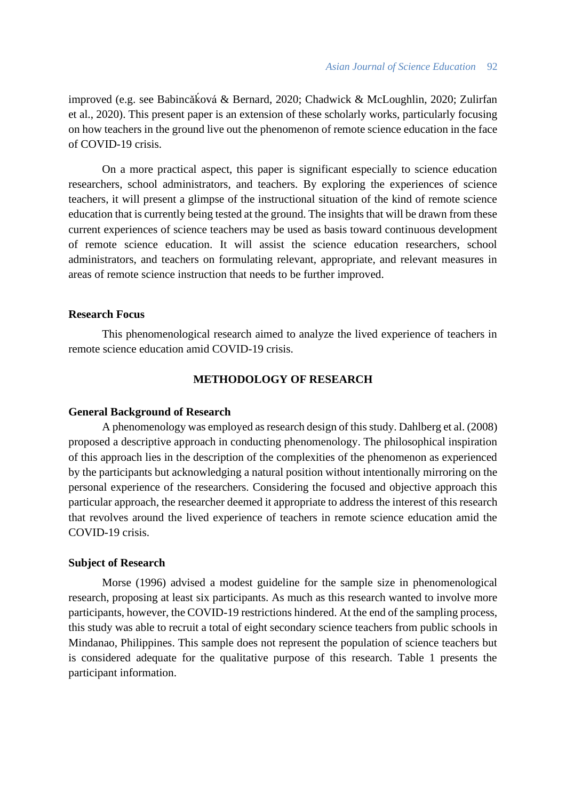improved (e.g. see Babincǎḱová & Bernard, 2020; Chadwick & McLoughlin, 2020; Zulirfan et al., 2020). This present paper is an extension of these scholarly works, particularly focusing on how teachers in the ground live out the phenomenon of remote science education in the face of COVID-19 crisis.

On a more practical aspect, this paper is significant especially to science education researchers, school administrators, and teachers. By exploring the experiences of science teachers, it will present a glimpse of the instructional situation of the kind of remote science education that is currently being tested at the ground. The insights that will be drawn from these current experiences of science teachers may be used as basis toward continuous development of remote science education. It will assist the science education researchers, school administrators, and teachers on formulating relevant, appropriate, and relevant measures in areas of remote science instruction that needs to be further improved.

#### **Research Focus**

This phenomenological research aimed to analyze the lived experience of teachers in remote science education amid COVID-19 crisis.

# **METHODOLOGY OF RESEARCH**

#### **General Background of Research**

A phenomenology was employed as research design of this study. Dahlberg et al. (2008) proposed a descriptive approach in conducting phenomenology. The philosophical inspiration of this approach lies in the description of the complexities of the phenomenon as experienced by the participants but acknowledging a natural position without intentionally mirroring on the personal experience of the researchers. Considering the focused and objective approach this particular approach, the researcher deemed it appropriate to address the interest of this research that revolves around the lived experience of teachers in remote science education amid the COVID-19 crisis.

#### **Subject of Research**

Morse (1996) advised a modest guideline for the sample size in phenomenological research, proposing at least six participants. As much as this research wanted to involve more participants, however, the COVID-19 restrictions hindered. At the end of the sampling process, this study was able to recruit a total of eight secondary science teachers from public schools in Mindanao, Philippines. This sample does not represent the population of science teachers but is considered adequate for the qualitative purpose of this research. Table 1 presents the participant information.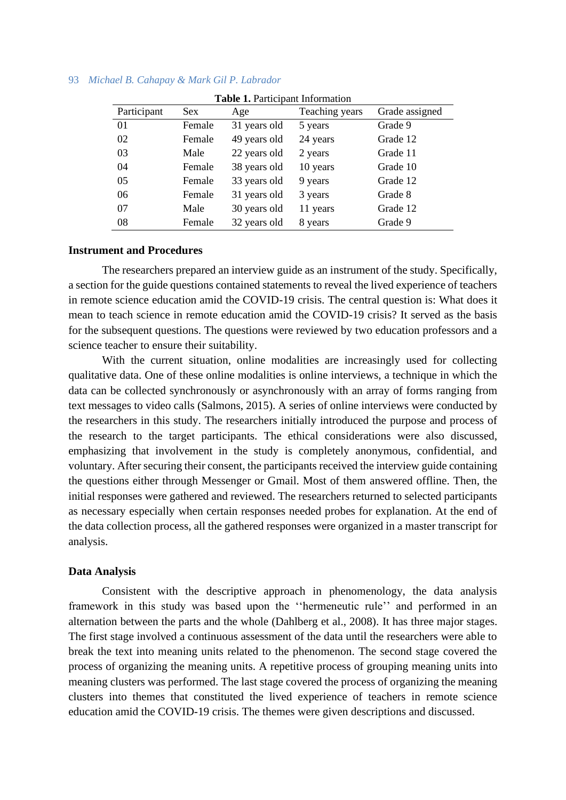| <b>Table 1. Participant Information</b> |        |              |                |                |  |
|-----------------------------------------|--------|--------------|----------------|----------------|--|
| Participant                             | Sex    | Age          | Teaching years | Grade assigned |  |
| 01                                      | Female | 31 years old | 5 years        | Grade 9        |  |
| 02                                      | Female | 49 years old | 24 years       | Grade 12       |  |
| 03                                      | Male   | 22 years old | 2 years        | Grade 11       |  |
| 04                                      | Female | 38 years old | 10 years       | Grade 10       |  |
| 05                                      | Female | 33 years old | 9 years        | Grade 12       |  |
| 06                                      | Female | 31 years old | 3 years        | Grade 8        |  |
| 07                                      | Male   | 30 years old | 11 years       | Grade 12       |  |
| 08                                      | Female | 32 years old | 8 years        | Grade 9        |  |

#### **Instrument and Procedures**

The researchers prepared an interview guide as an instrument of the study. Specifically, a section for the guide questions contained statements to reveal the lived experience of teachers in remote science education amid the COVID-19 crisis. The central question is: What does it mean to teach science in remote education amid the COVID-19 crisis? It served as the basis for the subsequent questions. The questions were reviewed by two education professors and a science teacher to ensure their suitability.

With the current situation, online modalities are increasingly used for collecting qualitative data. One of these online modalities is online interviews, a technique in which the data can be collected synchronously or asynchronously with an array of forms ranging from text messages to video calls (Salmons, 2015). A series of online interviews were conducted by the researchers in this study. The researchers initially introduced the purpose and process of the research to the target participants. The ethical considerations were also discussed, emphasizing that involvement in the study is completely anonymous, confidential, and voluntary. After securing their consent, the participants received the interview guide containing the questions either through Messenger or Gmail. Most of them answered offline. Then, the initial responses were gathered and reviewed. The researchers returned to selected participants as necessary especially when certain responses needed probes for explanation. At the end of the data collection process, all the gathered responses were organized in a master transcript for analysis.

#### **Data Analysis**

Consistent with the descriptive approach in phenomenology, the data analysis framework in this study was based upon the ''hermeneutic rule'' and performed in an alternation between the parts and the whole (Dahlberg et al., 2008). It has three major stages. The first stage involved a continuous assessment of the data until the researchers were able to break the text into meaning units related to the phenomenon. The second stage covered the process of organizing the meaning units. A repetitive process of grouping meaning units into meaning clusters was performed. The last stage covered the process of organizing the meaning clusters into themes that constituted the lived experience of teachers in remote science education amid the COVID-19 crisis. The themes were given descriptions and discussed.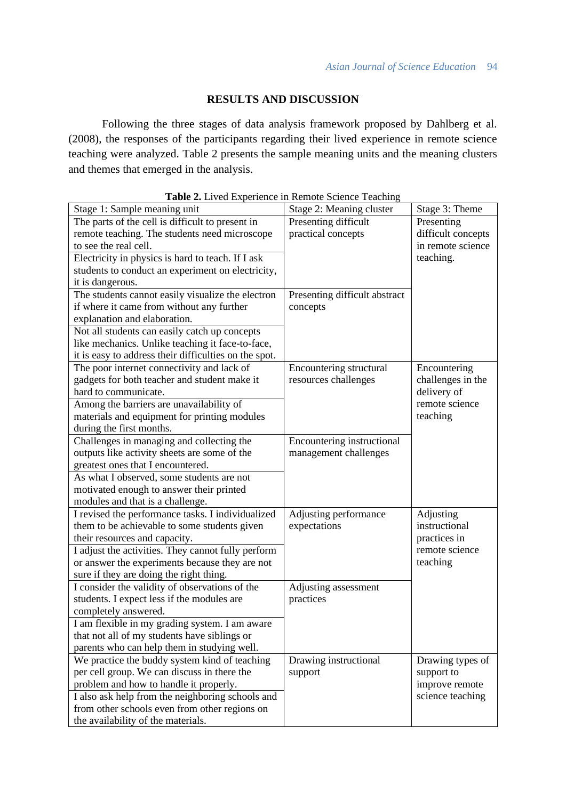# **RESULTS AND DISCUSSION**

Following the three stages of data analysis framework proposed by Dahlberg et al. (2008), the responses of the participants regarding their lived experience in remote science teaching were analyzed. Table 2 presents the sample meaning units and the meaning clusters and themes that emerged in the analysis.

| <b>Table 2.</b> Lived Experience in Remote Science Teaching |                               |                    |
|-------------------------------------------------------------|-------------------------------|--------------------|
| Stage 1: Sample meaning unit                                | Stage 2: Meaning cluster      | Stage 3: Theme     |
| The parts of the cell is difficult to present in            | Presenting difficult          | Presenting         |
| remote teaching. The students need microscope               | practical concepts            | difficult concepts |
| to see the real cell.                                       |                               | in remote science  |
| Electricity in physics is hard to teach. If I ask           |                               | teaching.          |
| students to conduct an experiment on electricity,           |                               |                    |
| it is dangerous.                                            |                               |                    |
| The students cannot easily visualize the electron           | Presenting difficult abstract |                    |
| if where it came from without any further                   | concepts                      |                    |
| explanation and elaboration.                                |                               |                    |
| Not all students can easily catch up concepts               |                               |                    |
| like mechanics. Unlike teaching it face-to-face,            |                               |                    |
| it is easy to address their difficulties on the spot.       |                               |                    |
| The poor internet connectivity and lack of                  | Encountering structural       | Encountering       |
| gadgets for both teacher and student make it                | resources challenges          | challenges in the  |
| hard to communicate.                                        |                               | delivery of        |
| Among the barriers are unavailability of                    |                               | remote science     |
| materials and equipment for printing modules                |                               | teaching           |
| during the first months.                                    |                               |                    |
| Challenges in managing and collecting the                   | Encountering instructional    |                    |
| outputs like activity sheets are some of the                | management challenges         |                    |
| greatest ones that I encountered.                           |                               |                    |
| As what I observed, some students are not                   |                               |                    |
| motivated enough to answer their printed                    |                               |                    |
| modules and that is a challenge.                            |                               |                    |
| I revised the performance tasks. I individualized           | Adjusting performance         | Adjusting          |
| them to be achievable to some students given                | expectations                  | instructional      |
| their resources and capacity.                               |                               | practices in       |
| I adjust the activities. They cannot fully perform          |                               | remote science     |
| or answer the experiments because they are not              |                               | teaching           |
| sure if they are doing the right thing.                     |                               |                    |
| I consider the validity of observations of the              | Adjusting assessment          |                    |
| students. I expect less if the modules are                  | practices                     |                    |
| completely answered.                                        |                               |                    |
| I am flexible in my grading system. I am aware              |                               |                    |
| that not all of my students have siblings or                |                               |                    |
| parents who can help them in studying well.                 |                               |                    |
| We practice the buddy system kind of teaching               | Drawing instructional         | Drawing types of   |
| per cell group. We can discuss in there the                 | support                       | support to         |
| problem and how to handle it properly.                      |                               | improve remote     |
| I also ask help from the neighboring schools and            |                               | science teaching   |
| from other schools even from other regions on               |                               |                    |
| the availability of the materials.                          |                               |                    |

|  |  |  |  | Table 2. Lived Experience in Remote Science Teaching |
|--|--|--|--|------------------------------------------------------|
|  |  |  |  |                                                      |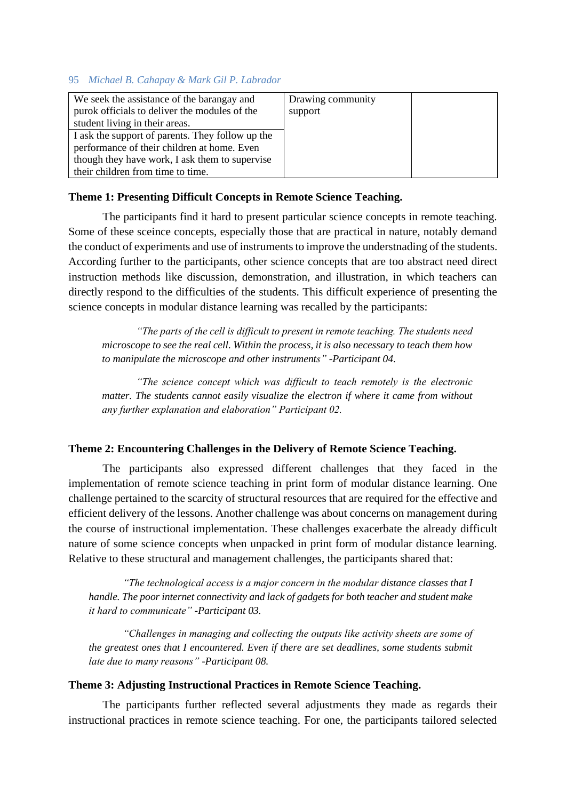| We seek the assistance of the barangay and       | Drawing community |  |
|--------------------------------------------------|-------------------|--|
| purok officials to deliver the modules of the    | support           |  |
| student living in their areas.                   |                   |  |
| I ask the support of parents. They follow up the |                   |  |
| performance of their children at home. Even      |                   |  |
| though they have work, I ask them to supervise   |                   |  |
| their children from time to time.                |                   |  |

# **Theme 1: Presenting Difficult Concepts in Remote Science Teaching.**

The participants find it hard to present particular science concepts in remote teaching. Some of these sceince concepts, especially those that are practical in nature, notably demand the conduct of experiments and use of instruments to improve the understnading of the students. According further to the participants, other science concepts that are too abstract need direct instruction methods like discussion, demonstration, and illustration, in which teachers can directly respond to the difficulties of the students. This difficult experience of presenting the science concepts in modular distance learning was recalled by the participants:

*"The parts of the cell is difficult to present in remote teaching. The students need microscope to see the real cell. Within the process, it is also necessary to teach them how to manipulate the microscope and other instruments" -Participant 04.*

*"The science concept which was difficult to teach remotely is the electronic matter. The students cannot easily visualize the electron if where it came from without any further explanation and elaboration" Participant 02.*

## **Theme 2: Encountering Challenges in the Delivery of Remote Science Teaching.**

The participants also expressed different challenges that they faced in the implementation of remote science teaching in print form of modular distance learning. One challenge pertained to the scarcity of structural resources that are required for the effective and efficient delivery of the lessons. Another challenge was about concerns on management during the course of instructional implementation. These challenges exacerbate the already difficult nature of some science concepts when unpacked in print form of modular distance learning. Relative to these structural and management challenges, the participants shared that:

*"The technological access is a major concern in the modular distance classes that I handle. The poor internet connectivity and lack of gadgets for both teacher and student make it hard to communicate" -Participant 03.*

*"Challenges in managing and collecting the outputs like activity sheets are some of the greatest ones that I encountered. Even if there are set deadlines, some students submit late due to many reasons" -Participant 08.*

#### **Theme 3: Adjusting Instructional Practices in Remote Science Teaching.**

The participants further reflected several adjustments they made as regards their instructional practices in remote science teaching. For one, the participants tailored selected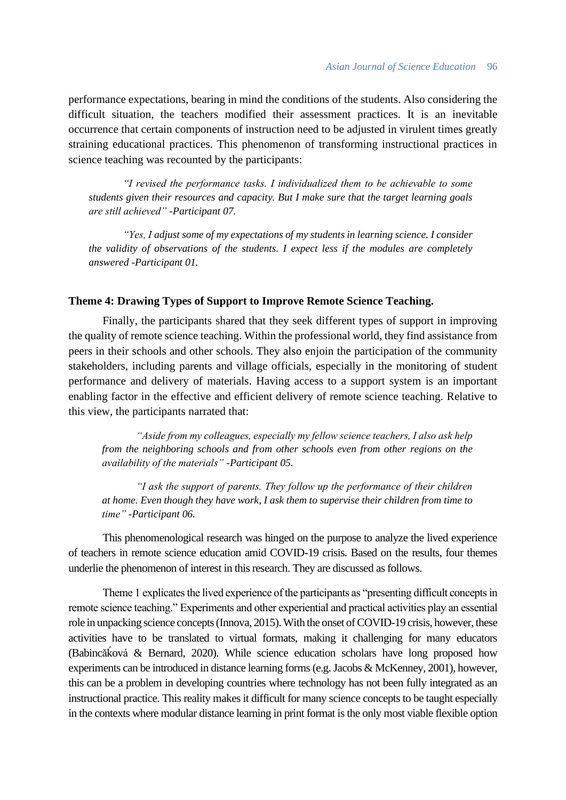performance expectations, bearing in mind the conditions of the students. Also considering the difficult situation, the teachers modified their assessment practices. It is an inevitable occurrence that certain components of instruction need to be adjusted in virulent times greatly straining educational practices. This phenomenon of transforming instructional practices in science teaching was recounted by the participants:

*"I revised the performance tasks. I individualized them to be achievable to some students given their resources and capacity. But I make sure that the target learning goals are still achieved" -Participant 07.*

*"Yes, I adjust some of my expectations of my students in learning science. I consider the validity of observations of the students. I expect less if the modules are completely answered -Participant 01.*

## **Theme 4: Drawing Types of Support to Improve Remote Science Teaching.**

Finally, the participants shared that they seek different types of support in improving the quality of remote science teaching. Within the professional world, they find assistance from peers in their schools and other schools. They also enjoin the participation of the community stakeholders, including parents and village officials, especially in the monitoring of student performance and delivery of materials. Having access to a support system is an important enabling factor in the effective and efficient delivery of remote science teaching. Relative to this view, the participants narrated that:

*"Aside from my colleagues, especially my fellow science teachers, I also ask help from the neighboring schools and from other schools even from other regions on the availability of the materials" -Participant 05.*

*"I ask the support of parents. They follow up the performance of their children at home. Even though they have work, I ask them to supervise their children from time to time" -Participant 06.*

This phenomenological research was hinged on the purpose to analyze the lived experience of teachers in remote science education amid COVID-19 crisis. Based on the results, four themes underlie the phenomenon of interest in this research. They are discussed as follows.

Theme 1 explicates the lived experience of the participants as "presenting difficult concepts in remote science teaching." Experiments and other experiential and practical activities play an essential role in unpacking science concepts (Innova, 2015). With the onset of COVID-19 crisis, however, these activities have to be translated to virtual formats, making it challenging for many educators (Babincǎḱová & Bernard, 2020). While science education scholars have long proposed how experiments can be introduced in distance learning forms (e.g. Jacobs & McKenney, 2001), however, this can be a problem in developing countries where technology has not been fully integrated as an instructional practice. This reality makes it difficult for many science concepts to be taught especially in the contexts where modular distance learning in print format is the only most viable flexible option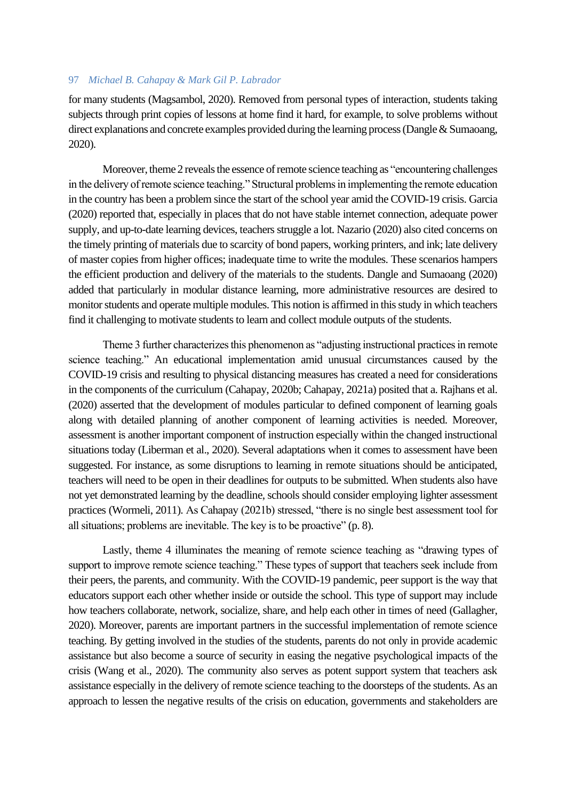for many students (Magsambol, 2020). Removed from personal types of interaction, students taking subjects through print copies of lessons at home find it hard, for example, to solve problems without direct explanations and concrete examples provided during the learning process (Dangle & Sumaoang, 2020).

Moreover, theme 2 reveals the essence of remote science teaching as "encountering challenges in the delivery of remote science teaching." Structural problems in implementing the remote education in the country has been a problem since the start of the school year amid the COVID-19 crisis. Garcia (2020) reported that, especially in places that do not have stable internet connection, adequate power supply, and up-to-date learning devices, teachers struggle a lot. Nazario (2020) also cited concerns on the timely printing of materials due to scarcity of bond papers, working printers, and ink; late delivery of master copies from higher offices; inadequate time to write the modules. These scenarios hampers the efficient production and delivery of the materials to the students. Dangle and Sumaoang (2020) added that particularly in modular distance learning, more administrative resources are desired to monitor students and operate multiple modules. This notion is affirmed in this study in which teachers find it challenging to motivate students to learn and collect module outputs of the students.

Theme 3 further characterizes this phenomenon as "adjusting instructional practices in remote science teaching." An educational implementation amid unusual circumstances caused by the COVID-19 crisis and resulting to physical distancing measures has created a need for considerations in the components of the curriculum (Cahapay, 2020b; Cahapay, 2021a) posited that a. Rajhans et al. (2020) asserted that the development of modules particular to defined component of learning goals along with detailed planning of another component of learning activities is needed. Moreover, assessment is another important component of instruction especially within the changed instructional situations today (Liberman et al., 2020). Several adaptations when it comes to assessment have been suggested. For instance, as some disruptions to learning in remote situations should be anticipated, teachers will need to be open in their deadlines for outputs to be submitted. When students also have not yet demonstrated learning by the deadline, schools should consider employing lighter assessment practices (Wormeli, 2011). As Cahapay (2021b) stressed, "there is no single best assessment tool for all situations; problems are inevitable. The key is to be proactive" (p. 8).

Lastly, theme 4 illuminates the meaning of remote science teaching as "drawing types of support to improve remote science teaching." These types of support that teachers seek include from their peers, the parents, and community. With the COVID-19 pandemic, peer support is the way that educators support each other whether inside or outside the school. This type of support may include how teachers collaborate, network, socialize, share, and help each other in times of need (Gallagher, 2020). Moreover, parents are important partners in the successful implementation of remote science teaching. By getting involved in the studies of the students, parents do not only in provide academic assistance but also become a source of security in easing the negative psychological impacts of the crisis (Wang et al., 2020). The community also serves as potent support system that teachers ask assistance especially in the delivery of remote science teaching to the doorsteps of the students. As an approach to lessen the negative results of the crisis on education, governments and stakeholders are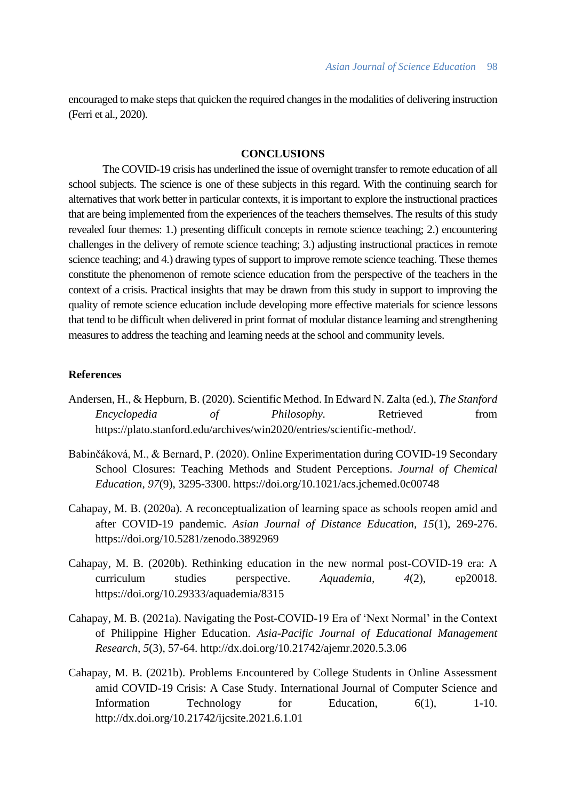encouraged to make steps that quicken the required changes in the modalities of delivering instruction (Ferri et al., 2020).

# **CONCLUSIONS**

The COVID-19 crisis has underlined the issue of overnight transfer to remote education of all school subjects. The science is one of these subjects in this regard. With the continuing search for alternatives that work better in particular contexts, it is important to explore the instructional practices that are being implemented from the experiences of the teachers themselves. The results of this study revealed four themes: 1.) presenting difficult concepts in remote science teaching; 2.) encountering challenges in the delivery of remote science teaching; 3.) adjusting instructional practices in remote science teaching; and 4.) drawing types of support to improve remote science teaching. These themes constitute the phenomenon of remote science education from the perspective of the teachers in the context of a crisis. Practical insights that may be drawn from this study in support to improving the quality of remote science education include developing more effective materials for science lessons that tend to be difficult when delivered in print format of modular distance learning and strengthening measures to address the teaching and learning needs at the school and community levels.

# **References**

- Andersen, H., & Hepburn, B. (2020). Scientific Method. In Edward N. Zalta (ed.), *The Stanford Encyclopedia of Philosophy.* Retrieved from https://plato.stanford.edu/archives/win2020/entries/scientific-method/.
- Babinčáková, M., & Bernard, P. (2020). Online Experimentation during COVID-19 Secondary School Closures: Teaching Methods and Student Perceptions. *Journal of Chemical Education, 97*(9), 3295-3300. https://doi.org/10.1021/acs.jchemed.0c00748
- Cahapay, M. B. (2020a). A reconceptualization of learning space as schools reopen amid and after COVID-19 pandemic. *Asian Journal of Distance Education, 15*(1), 269-276. https://doi.org/10.5281/zenodo.3892969
- Cahapay, M. B. (2020b). Rethinking education in the new normal post-COVID-19 era: A curriculum studies perspective. *Aquademia, 4*(2), ep20018. https://doi.org/10.29333/aquademia/8315
- Cahapay, M. B. (2021a). Navigating the Post-COVID-19 Era of 'Next Normal' in the Context of Philippine Higher Education. *Asia-Pacific Journal of Educational Management Research, 5*(3), 57-64. http://dx.doi.org/10.21742/ajemr.2020.5.3.06
- Cahapay, M. B. (2021b). Problems Encountered by College Students in Online Assessment amid COVID-19 Crisis: A Case Study. International Journal of Computer Science and Information Technology for Education, 6(1), 1-10. http://dx.doi.org/10.21742/ijcsite.2021.6.1.01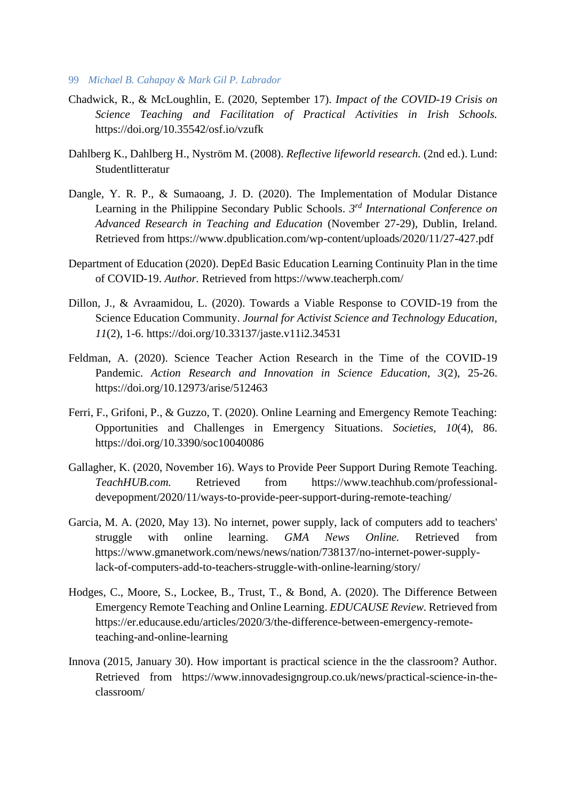- 99 *Michael B. Cahapay & Mark Gil P. Labrador*
- Chadwick, R., & McLoughlin, E. (2020, September 17). *Impact of the COVID-19 Crisis on Science Teaching and Facilitation of Practical Activities in Irish Schools.* https://doi.org/10.35542/osf.io/vzufk
- Dahlberg K., Dahlberg H., Nyström M. (2008). *Reflective lifeworld research.* (2nd ed.). Lund: Studentlitteratur
- Dangle, Y. R. P., & Sumaoang, J. D. (2020). The Implementation of Modular Distance Learning in the Philippine Secondary Public Schools. *3 rd International Conference on Advanced Research in Teaching and Education* (November 27-29), Dublin, Ireland. Retrieved from https://www.dpublication.com/wp-content/uploads/2020/11/27-427.pdf
- Department of Education (2020). DepEd Basic Education Learning Continuity Plan in the time of COVID-19. *Author.* Retrieved from https://www.teacherph.com/
- Dillon, J., & Avraamidou, L. (2020). Towards a Viable Response to COVID-19 from the Science Education Community. *Journal for Activist Science and Technology Education, 11*(2), 1-6. https://doi.org/10.33137/jaste.v11i2.34531
- Feldman, A. (2020). Science Teacher Action Research in the Time of the COVID-19 Pandemic. *Action Research and Innovation in Science Education, 3*(2), 25-26. https://doi.org/10.12973/arise/512463
- Ferri, F., Grifoni, P., & Guzzo, T. (2020). Online Learning and Emergency Remote Teaching: Opportunities and Challenges in Emergency Situations. *Societies, 10*(4), 86. https://doi.org/10.3390/soc10040086
- Gallagher, K. (2020, November 16). Ways to Provide Peer Support During Remote Teaching. *TeachHUB.com.* Retrieved from https://www.teachhub.com/professionaldevepopment/2020/11/ways-to-provide-peer-support-during-remote-teaching/
- Garcia, M. A. (2020, May 13). No internet, power supply, lack of computers add to teachers' struggle with online learning. *GMA News Online.* Retrieved from https://www.gmanetwork.com/news/news/nation/738137/no-internet-power-supplylack-of-computers-add-to-teachers-struggle-with-online-learning/story/
- Hodges, C., Moore, S., Lockee, B., Trust, T., & Bond, A. (2020). The Difference Between Emergency Remote Teaching and Online Learning. *EDUCAUSE Review.* Retrieved from https://er.educause.edu/articles/2020/3/the-difference-between-emergency-remoteteaching-and-online-learning
- Innova (2015, January 30). How important is practical science in the the classroom? Author. Retrieved from https://www.innovadesigngroup.co.uk/news/practical-science-in-theclassroom/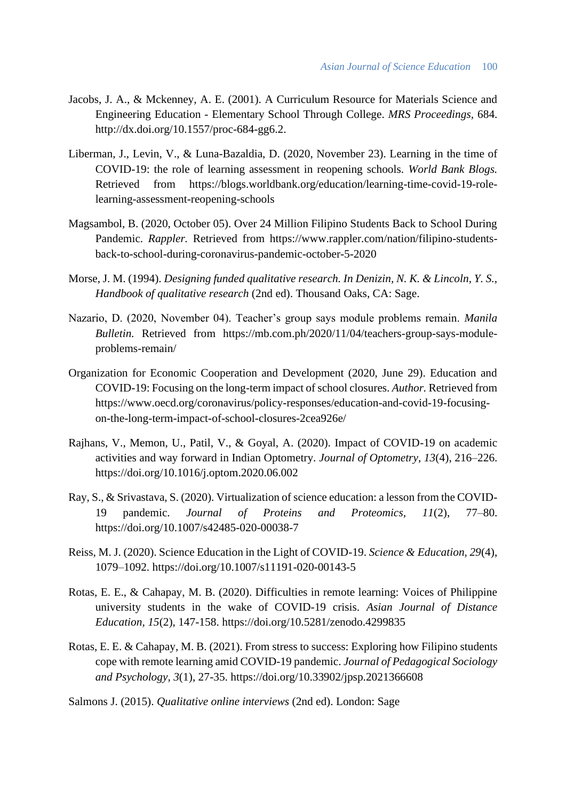- Jacobs, J. A., & Mckenney, A. E. (2001). A Curriculum Resource for Materials Science and Engineering Education - Elementary School Through College. *MRS Proceedings,* 684. http://dx.doi.org/10.1557/proc-684-gg6.2.
- Liberman, J., Levin, V., & Luna-Bazaldia, D. (2020, November 23). Learning in the time of COVID-19: the role of learning assessment in reopening schools. *World Bank Blogs.* Retrieved from https://blogs.worldbank.org/education/learning-time-covid-19-rolelearning-assessment-reopening-schools
- Magsambol, B. (2020, October 05). Over 24 Million Filipino Students Back to School During Pandemic. *Rappler.* Retrieved from https://www.rappler.com/nation/filipino-studentsback-to-school-during-coronavirus-pandemic-october-5-2020
- Morse, J. M. (1994). *Designing funded qualitative research. In Denizin, N. K. & Lincoln, Y. S., Handbook of qualitative research* (2nd ed). Thousand Oaks, CA: Sage.
- Nazario, D. (2020, November 04). Teacher's group says module problems remain. *Manila Bulletin.* Retrieved from https://mb.com.ph/2020/11/04/teachers-group-says-moduleproblems-remain/
- Organization for Economic Cooperation and Development (2020, June 29). Education and COVID-19: Focusing on the long-term impact of school closures. *Author.* Retrieved from https://www.oecd.org/coronavirus/policy-responses/education-and-covid-19-focusingon-the-long-term-impact-of-school-closures-2cea926e/
- Rajhans, V., Memon, U., Patil, V., & Goyal, A. (2020). Impact of COVID-19 on academic activities and way forward in Indian Optometry. *Journal of Optometry, 13*(4), 216–226. https://doi.org/10.1016/j.optom.2020.06.002
- Ray, S., & Srivastava, S. (2020). Virtualization of science education: a lesson from the COVID-19 pandemic. *Journal of Proteins and Proteomics, 11*(2), 77–80. https://doi.org/10.1007/s42485-020-00038-7
- Reiss, M. J. (2020). Science Education in the Light of COVID-19. *Science & Education, 29*(4), 1079–1092. https://doi.org/10.1007/s11191-020-00143-5
- Rotas, E. E., & Cahapay, M. B. (2020). Difficulties in remote learning: Voices of Philippine university students in the wake of COVID-19 crisis. *Asian Journal of Distance Education, 15*(2), 147-158. https://doi.org/10.5281/zenodo.4299835
- Rotas, E. E. & Cahapay, M. B. (2021). From stress to success: Exploring how Filipino students cope with remote learning amid COVID-19 pandemic. *Journal of Pedagogical Sociology and Psychology, 3*(1), 27-35. https://doi.org/10.33902/jpsp.2021366608
- Salmons J. (2015). *Qualitative online interviews* (2nd ed). London: Sage